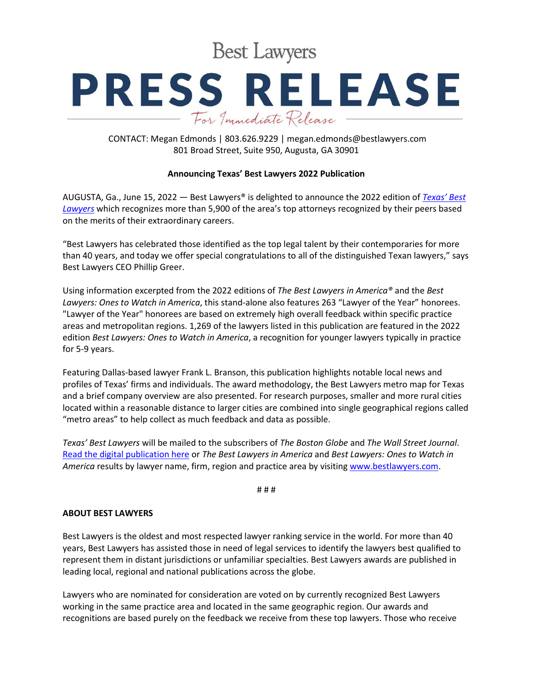**Best Lawyers** 

## **PRESS RELEASE** For Immediate Release

CONTACT: Megan Edmonds | 803.626.9229 | megan.edmonds@bestlawyers.com 801 Broad Street, Suite 950, Augusta, GA 30901

## **Announcing Texas' Best Lawyers 2022 Publication**

AUGUSTA, Ga., June 15, 2022 — Best Lawyers® is delighted to announce the 2022 edition of *[Texas'](https://www.bestlawyers.com/publications/texas) Best [Lawyers](https://www.bestlawyers.com/publications/texas)* which recognizes more than 5,900 of the area's top attorneys recognized by their peers based on the merits of their extraordinary careers.

"Best Lawyers has celebrated those identified as the top legal talent by their contemporaries for more than 40 years, and today we offer special congratulations to all of the distinguished Texan lawyers," says Best Lawyers CEO Phillip Greer.

Using information excerpted from the 2022 editions of *The Best Lawyers in America®* and the *Best Lawyers: Ones to Watch in America*, this stand-alone also features 263 "Lawyer of the Year" honorees. "Lawyer of the Year" honorees are based on extremely high overall feedback within specific practice areas and metropolitan regions. 1,269 of the lawyers listed in this publication are featured in the 2022 edition *Best Lawyers: Ones to Watch in America*, a recognition for younger lawyers typically in practice for 5-9 years.

Featuring Dallas-based lawyer Frank L. Branson, this publication highlights notable local news and profiles of Texas' firms and individuals. The award methodology, the Best Lawyers metro map for Texas and a brief company overview are also presented. For research purposes, smaller and more rural cities located within a reasonable distance to larger cities are combined into single geographical regions called "metro areas" to help collect as much feedback and data as possible.

*Texas' Best Lawyers* will be mailed to the subscribers of *The Boston Globe* and *The Wall Street Journal*. [Read the digital publication here](https://www.bestlawyers.com/publications/texas) or *The Best Lawyers in America* and *Best Lawyers: Ones to Watch in America* results by lawyer name, firm, region and practice area by visiting [www.bestlawyers.com.](https://www.bestlawyers.com/united-states/texas)

# # #

## **ABOUT BEST LAWYERS**

Best Lawyers is the oldest and most respected lawyer ranking service in the world. For more than 40 years, Best Lawyers has assisted those in need of legal services to identify the lawyers best qualified to represent them in distant jurisdictions or unfamiliar specialties. Best Lawyers awards are published in leading local, regional and national publications across the globe.

Lawyers who are nominated for consideration are voted on by currently recognized Best Lawyers working in the same practice area and located in the same geographic region. Our awards and recognitions are based purely on the feedback we receive from these top lawyers. Those who receive